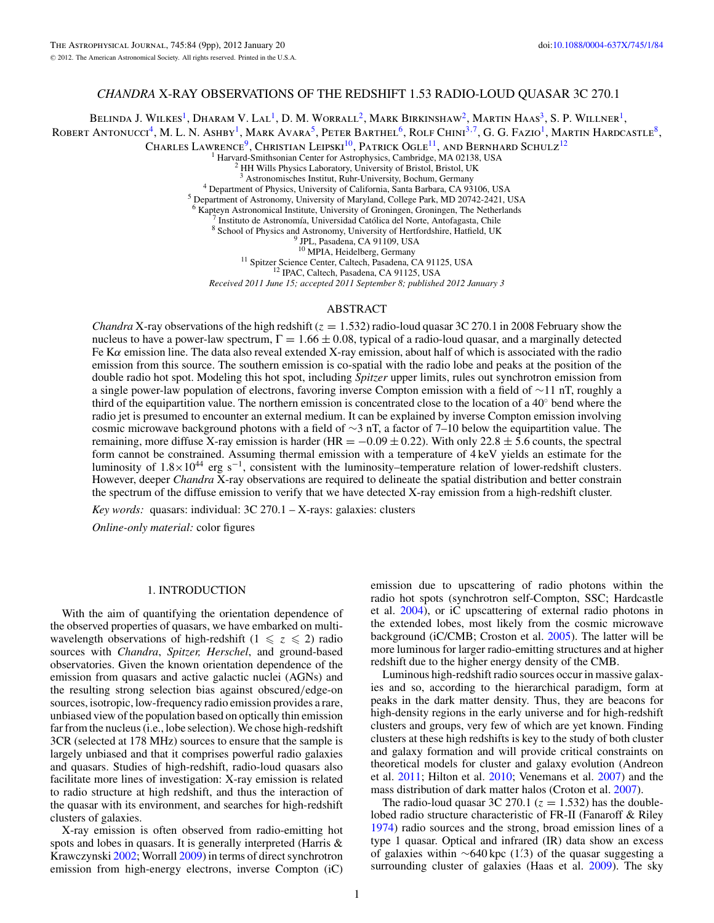# *CHANDRA* X-RAY OBSERVATIONS OF THE REDSHIFT 1.53 RADIO-LOUD QUASAR 3C 270.1

BELINDA J. WILKES<sup>1</sup>, DHARAM V. LAL<sup>1</sup>, D. M. WORRALL<sup>2</sup>, MARK BIRKINSHAW<sup>2</sup>, MARTIN HAAS<sup>3</sup>, S. P. WILLNER<sup>1</sup>, ROBERT ANTONUCCI<sup>4</sup>, M. L. N. ASHBY<sup>1</sup>, MARK AVARA<sup>5</sup>, PETER BARTHEL<sup>6</sup>, ROLF CHINI<sup>3,7</sup>, G. G. FAZIO<sup>1</sup>, MARTIN HARDCASTLE<sup>8</sup>,

Charles Lawrence<sup>9</sup>, Christian Leipski<sup>10</sup>, Patrick Ogle<sup>11</sup>, and Bernhard Schulz<sup>12</sup>

<sup>1</sup> Harvard-Smithsonian Center for Astrophysics, Cambridge, MA 02138, USA <sup>2</sup> HH Wills Physics Laboratory, University of Bristol, Bristol, UK

 $^2$ HH Wills Physics Laboratory, University of Bristol, Bristol, UK  $^3$  Astronomisches Institut, Ruhr-University, Bochum, Germany  $^4$  Department of Physics, University of California, Santa Barbara, CA 93106, USA  $^5$  Ex

7 Instituto de Astronomía, Universidad Católica del Norte, Antofagasta, Chile 8 School of Physics and Astronomy, University of Hertfordshire, Hatfield, UK<br><sup>9</sup> JPL, Pasadena, CA 91109, USA<br><sup>10</sup> MPIA, Heidelberg, Germany

<sup>11</sup> Spitzer Science Center, Caltech, Pasadena, CA 91125, USA <sup>12</sup> IPAC, Caltech, Pasadena, CA 91125, USA

*Received 2011 June 15; accepted 2011 September 8; published 2012 January 3*

### ABSTRACT

*Chandra* X-ray observations of the high redshift (*z* = 1*.*532) radio-loud quasar 3C 270.1 in 2008 February show the nucleus to have a power-law spectrum,  $\Gamma = 1.66 \pm 0.08$ , typical of a radio-loud quasar, and a marginally detected Fe K*α* emission line. The data also reveal extended X-ray emission, about half of which is associated with the radio emission from this source. The southern emission is co-spatial with the radio lobe and peaks at the position of the double radio hot spot. Modeling this hot spot, including *Spitzer* upper limits, rules out synchrotron emission from a single power-law population of electrons, favoring inverse Compton emission with a field of ∼11 nT, roughly a third of the equipartition value. The northern emission is concentrated close to the location of a  $40°$  bend where the radio jet is presumed to encounter an external medium. It can be explained by inverse Compton emission involving cosmic microwave background photons with a field of ∼3 nT, a factor of 7–10 below the equipartition value. The remaining, more diffuse X-ray emission is harder (HR =  $-0.09 \pm 0.22$ ). With only 22.8  $\pm$  5.6 counts, the spectral form cannot be constrained. Assuming thermal emission with a temperature of 4 keV yields an estimate for the luminosity of 1.8×1044 erg s−1, consistent with the luminosity–temperature relation of lower-redshift clusters. However, deeper *Chandra* X-ray observations are required to delineate the spatial distribution and better constrain the spectrum of the diffuse emission to verify that we have detected X-ray emission from a high-redshift cluster.

*Key words:* quasars: individual: 3C 270.1 – X-rays: galaxies: clusters

*Online-only material:* color figures

# 1. INTRODUCTION

With the aim of quantifying the orientation dependence of the observed properties of quasars, we have embarked on multiwavelength observations of high-redshift  $(1 \le z \le 2)$  radio sources with *Chandra*, *Spitzer, Herschel*, and ground-based observatories. Given the known orientation dependence of the emission from quasars and active galactic nuclei (AGNs) and the resulting strong selection bias against obscured*/*edge-on sources, isotropic, low-frequency radio emission provides a rare, unbiased view of the population based on optically thin emission far from the nucleus (i.e., lobe selection). We chose high-redshift 3CR (selected at 178 MHz) sources to ensure that the sample is largely unbiased and that it comprises powerful radio galaxies and quasars. Studies of high-redshift, radio-loud quasars also facilitate more lines of investigation: X-ray emission is related to radio structure at high redshift, and thus the interaction of the quasar with its environment, and searches for high-redshift clusters of galaxies.

X-ray emission is often observed from radio-emitting hot spots and lobes in quasars. It is generally interpreted (Harris & Krawczynski [2002;](#page-8-0) Worrall [2009\)](#page-8-0) in terms of direct synchrotron emission from high-energy electrons, inverse Compton (iC)

emission due to upscattering of radio photons within the radio hot spots (synchrotron self-Compton, SSC; Hardcastle et al. [2004\)](#page-8-0), or iC upscattering of external radio photons in the extended lobes, most likely from the cosmic microwave background (iC/CMB; Croston et al. [2005\)](#page-8-0). The latter will be more luminous for larger radio-emitting structures and at higher redshift due to the higher energy density of the CMB.

Luminous high-redshift radio sources occur in massive galaxies and so, according to the hierarchical paradigm, form at peaks in the dark matter density. Thus, they are beacons for high-density regions in the early universe and for high-redshift clusters and groups, very few of which are yet known. Finding clusters at these high redshifts is key to the study of both cluster and galaxy formation and will provide critical constraints on theoretical models for cluster and galaxy evolution (Andreon et al. [2011;](#page-8-0) Hilton et al. [2010;](#page-8-0) Venemans et al. [2007\)](#page-8-0) and the mass distribution of dark matter halos (Croton et al. [2007\)](#page-8-0).

The radio-loud quasar 3C 270.1 ( $z = 1.532$ ) has the doublelobed radio structure characteristic of FR-II (Fanaroff & Riley [1974\)](#page-8-0) radio sources and the strong, broad emission lines of a type 1 quasar. Optical and infrared (IR) data show an excess of galaxies within ∼640 kpc (1.3) of the quasar suggesting a surrounding cluster of galaxies (Haas et al. [2009\)](#page-8-0). The sky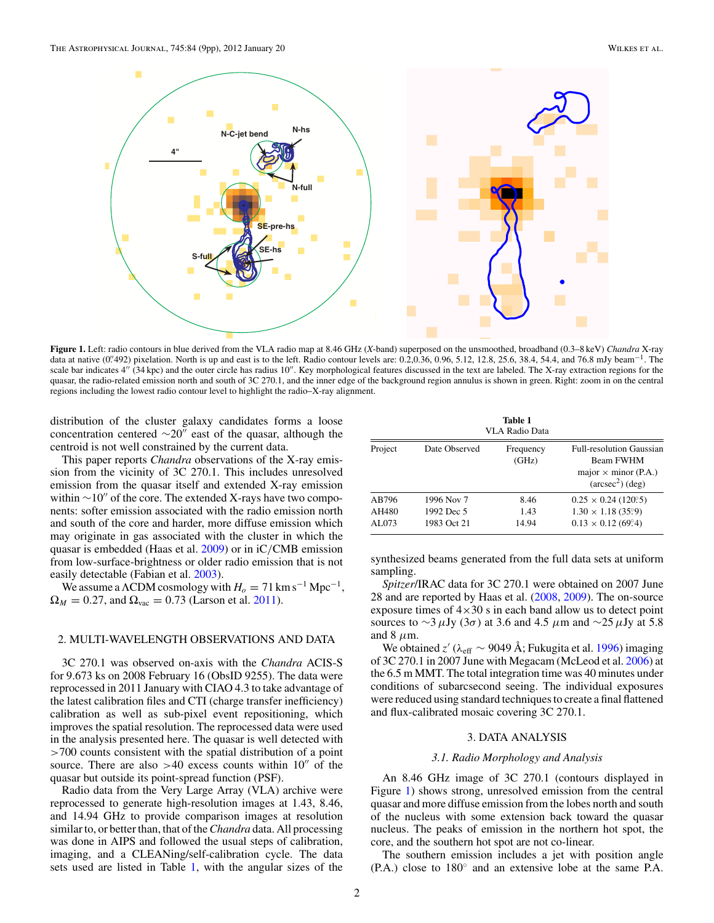<span id="page-1-0"></span>

**Figure 1.** Left: radio contours in blue derived from the VLA radio map at 8.46 GHz (*X*-band) superposed on the unsmoothed, broadband (0.3–8 keV) *Chandra* X-ray data at native  $(0.492)$  pixelation. North is up and east is to the left. Radio contour levels are: 0.2,0.36, 0.96, 5.12, 12.8, 25.6, 38.4, 54.4, and 76.8 mJy beam<sup>-1</sup>. The scale bar indicates 4" (34 kpc) and the outer circle has radius 10". Key morphological features discussed in the text are labeled. The X-ray extraction regions for the quasar, the radio-related emission north and south of 3C 270.1, and the inner edge of the background region annulus is shown in green. Right: zoom in on the central regions including the lowest radio contour level to highlight the radio–X-ray alignment.

distribution of the cluster galaxy candidates forms a loose concentration centered  $\sim$ 20" east of the quasar, although the centroid is not well constrained by the current data.

This paper reports *Chandra* observations of the X-ray emission from the vicinity of 3C 270.1. This includes unresolved emission from the quasar itself and extended X-ray emission within  $\sim$ 10" of the core. The extended X-rays have two components: softer emission associated with the radio emission north and south of the core and harder, more diffuse emission which may originate in gas associated with the cluster in which the quasar is embedded (Haas et al. [2009\)](#page-8-0) or in iC*/*CMB emission from low-surface-brightness or older radio emission that is not easily detectable (Fabian et al. [2003\)](#page-8-0).

We assume a  $\Lambda$ CDM cosmology with  $H_0 = 71 \text{ km s}^{-1} \text{ Mpc}^{-1}$ ,  $\Omega_M = 0.27$ , and  $\Omega_{\text{vac}} = 0.73$  (Larson et al. [2011\)](#page-8-0).

## 2. MULTI-WAVELENGTH OBSERVATIONS AND DATA

3C 270.1 was observed on-axis with the *Chandra* ACIS-S for 9.673 ks on 2008 February 16 (ObsID 9255). The data were reprocessed in 2011 January with CIAO 4.3 to take advantage of the latest calibration files and CTI (charge transfer inefficiency) calibration as well as sub-pixel event repositioning, which improves the spatial resolution. The reprocessed data were used in the analysis presented here. The quasar is well detected with *>*700 counts consistent with the spatial distribution of a point source. There are also  $>40$  excess counts within  $10<sup>7</sup>$  of the quasar but outside its point-spread function (PSF).

Radio data from the Very Large Array (VLA) archive were reprocessed to generate high-resolution images at 1.43, 8.46, and 14.94 GHz to provide comparison images at resolution similar to, or better than, that of the*Chandra* data. All processing was done in AIPS and followed the usual steps of calibration, imaging, and a CLEANing/self-calibration cycle. The data sets used are listed in Table 1, with the angular sizes of the

| Table 1        |
|----------------|
| VLA Radio Data |

| Project | Date Observed | Frequency<br>(GHz) | <b>Full-resolution Gaussian</b><br>Beam FWHM<br>major $\times$ minor (P.A.)<br>$(\text{arcsec}^2)(\text{deg})$ |
|---------|---------------|--------------------|----------------------------------------------------------------------------------------------------------------|
| AB796   | 1996 Nov 7    | 8.46               | $0.25 \times 0.24$ (120° 5)                                                                                    |
| AH480   | 1992 Dec 5    | 1.43               | $1.30 \times 1.18$ (35°.9)                                                                                     |
| AL073   | 1983 Oct 21   | 14.94              | $0.13 \times 0.12$ (69.4)                                                                                      |

synthesized beams generated from the full data sets at uniform sampling.

*Spitzer*/IRAC data for 3C 270.1 were obtained on 2007 June 28 and are reported by Haas et al. [\(2008,](#page-8-0) [2009\)](#page-8-0). The on-source exposure times of  $4 \times 30$  s in each band allow us to detect point sources to ∼3*μ*Jy (3*σ*) at 3.6 and 4.5 *μ*m and ∼25*μ*Jy at 5.8 and  $8 \mu$ m.

We obtained *z* (*λ*eff ∼ 9049 Å; Fukugita et al. [1996\)](#page-8-0) imaging of 3C 270.1 in 2007 June with Megacam (McLeod et al. [2006\)](#page-8-0) at the 6.5 m MMT. The total integration time was 40 minutes under conditions of subarcsecond seeing. The individual exposures were reduced using standard techniques to create a final flattened and flux-calibrated mosaic covering 3C 270.1.

# 3. DATA ANALYSIS

# *3.1. Radio Morphology and Analysis*

An 8.46 GHz image of 3C 270.1 (contours displayed in Figure 1) shows strong, unresolved emission from the central quasar and more diffuse emission from the lobes north and south of the nucleus with some extension back toward the quasar nucleus. The peaks of emission in the northern hot spot, the core, and the southern hot spot are not co-linear.

The southern emission includes a jet with position angle (P.A.) close to 180◦ and an extensive lobe at the same P.A.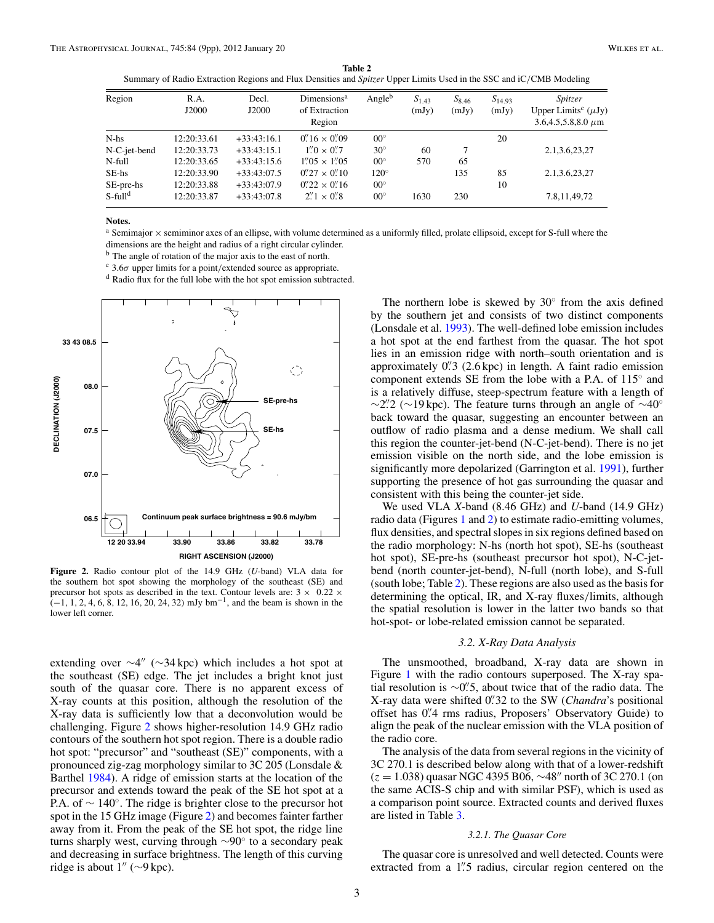<span id="page-2-0"></span>**Table 2** Summary of Radio Extraction Regions and Flux Densities and *Spitzer* Upper Limits Used in the SSC and iC*/*CMB Modeling

| Region                 | R.A.<br>J2000 | Decl.<br>J2000 | Dimensions <sup>a</sup><br>of Extraction<br>Region | Angle <sup>b</sup> | $S_{1,43}$<br>(mJy) | $S_{8,46}$<br>(mJy) | $S_{14,93}$<br>(mJy) | <i>Spitzer</i><br>Upper Limits <sup>c</sup> $(\mu Jy)$<br>$3.6,4.5,5.8,8.0 \,\mu m$ |
|------------------------|---------------|----------------|----------------------------------------------------|--------------------|---------------------|---------------------|----------------------|-------------------------------------------------------------------------------------|
| $N-hs$                 | 12:20:33.61   | $+33:43:16.1$  | $0''/16 \times 0''/09$                             | $00^{\circ}$       |                     |                     | 20                   |                                                                                     |
| N-C-jet-bend           | 12:20:33.73   | $+33:43:15.1$  | $1''0 \times 0''7$                                 | $30^\circ$         | 60                  |                     |                      | 2.1, 3.6, 23, 27                                                                    |
| N-full                 | 12:20:33.65   | $+33:43:15.6$  | $1''.05 \times 1''.05$                             | $00^{\circ}$       | 570                 | 65                  |                      |                                                                                     |
| SE-hs                  | 12:20:33.90   | $+33:43:07.5$  | $0''27 \times 0''10$                               | $120^\circ$        |                     | 135                 | 85                   | 2.1, 3.6, 23, 27                                                                    |
| SE-pre-hs              | 12:20:33.88   | $+33:43:07.9$  | $0''22 \times 0''16$                               | $00^{\circ}$       |                     |                     | 10                   |                                                                                     |
| $S$ -full <sup>d</sup> | 12:20:33.87   | $+33:43:07.8$  | $2''\!\!.1 \times 0''\!\!.8$                       | $00^{\circ}$       | 1630                | 230                 |                      | 7.8, 11, 49, 72                                                                     |

#### **Notes.**

<sup>a</sup> Semimajor <sup>×</sup> semiminor axes of an ellipse, with volume determined as a uniformly filled, prolate ellipsoid, except for S-full where the dimensions are the height and radius of a right circular cylinder.

<sup>b</sup> The angle of rotation of the major axis to the east of north.

<sup>c</sup> 3.6*σ* upper limits for a point*/*extended source as appropriate.

<sup>d</sup> Radio flux for the full lobe with the hot spot emission subtracted.



**Figure 2.** Radio contour plot of the 14.9 GHz (*U*-band) VLA data for the southern hot spot showing the morphology of the southeast (SE) and precursor hot spots as described in the text. Contour levels are:  $3 \times 0.22 \times$ (−1*,* <sup>1</sup>*,* <sup>2</sup>*,* <sup>4</sup>*,* <sup>6</sup>*,* <sup>8</sup>*,* <sup>12</sup>*,* <sup>16</sup>*,* <sup>20</sup>*,* <sup>24</sup>*,* 32) mJy bm−1, and the beam is shown in the lower left corner.

extending over  $\sim$ 4" ( $\sim$ 34 kpc) which includes a hot spot at the southeast (SE) edge. The jet includes a bright knot just south of the quasar core. There is no apparent excess of X-ray counts at this position, although the resolution of the X-ray data is sufficiently low that a deconvolution would be challenging. Figure 2 shows higher-resolution 14.9 GHz radio contours of the southern hot spot region. There is a double radio hot spot: "precursor" and "southeast (SE)" components, with a pronounced zig-zag morphology similar to 3C 205 (Lonsdale & Barthel [1984\)](#page-8-0). A ridge of emission starts at the location of the precursor and extends toward the peak of the SE hot spot at a P.A. of  $\sim 140^\circ$ . The ridge is brighter close to the precursor hot spot in the 15 GHz image (Figure 2) and becomes fainter farther away from it. From the peak of the SE hot spot, the ridge line turns sharply west, curving through ∼90◦ to a secondary peak and decreasing in surface brightness. The length of this curving ridge is about  $1''$  (∼9 kpc).

The northern lobe is skewed by  $30°$  from the axis defined by the southern jet and consists of two distinct components (Lonsdale et al. [1993\)](#page-8-0). The well-defined lobe emission includes a hot spot at the end farthest from the quasar. The hot spot lies in an emission ridge with north–south orientation and is approximately 0<sup>"</sup>. (2.6 kpc) in length. A faint radio emission component extends SE from the lobe with a P.A. of 115◦ and is a relatively diffuse, steep-spectrum feature with a length of ∼2*.* 2 (∼19 kpc). The feature turns through an angle of ∼40◦ back toward the quasar, suggesting an encounter between an outflow of radio plasma and a dense medium. We shall call this region the counter-jet-bend (N-C-jet-bend). There is no jet emission visible on the north side, and the lobe emission is significantly more depolarized (Garrington et al. [1991\)](#page-8-0), further supporting the presence of hot gas surrounding the quasar and consistent with this being the counter-jet side.

We used VLA *X*-band (8.46 GHz) and *U*-band (14.9 GHz) radio data (Figures [1](#page-1-0) and 2) to estimate radio-emitting volumes, flux densities, and spectral slopes in six regions defined based on the radio morphology: N-hs (north hot spot), SE-hs (southeast hot spot), SE-pre-hs (southeast precursor hot spot), N-C-jetbend (north counter-jet-bend), N-full (north lobe), and S-full (south lobe; Table 2). These regions are also used as the basis for determining the optical, IR, and X-ray fluxes*/*limits, although the spatial resolution is lower in the latter two bands so that hot-spot- or lobe-related emission cannot be separated.

## *3.2. X-Ray Data Analysis*

The unsmoothed, broadband, X-ray data are shown in Figure [1](#page-1-0) with the radio contours superposed. The X-ray spatial resolution is ∼0<sup>"</sup>. S, about twice that of the radio data. The X-ray data were shifted 0*.* 32 to the SW (*Chandra*'s positional offset has 0*.* 4 rms radius, Proposers' Observatory Guide) to align the peak of the nuclear emission with the VLA position of the radio core.

The analysis of the data from several regions in the vicinity of 3C 270.1 is described below along with that of a lower-redshift (*z* = 1.038) quasar NGC 4395 B06, ~48" north of 3C 270.1 (on the same ACIS-S chip and with similar PSF), which is used as a comparison point source. Extracted counts and derived fluxes are listed in Table [3.](#page-3-0)

## *3.2.1. The Quasar Core*

The quasar core is unresolved and well detected. Counts were extracted from a 1<sup>"</sup>. 5 radius, circular region centered on the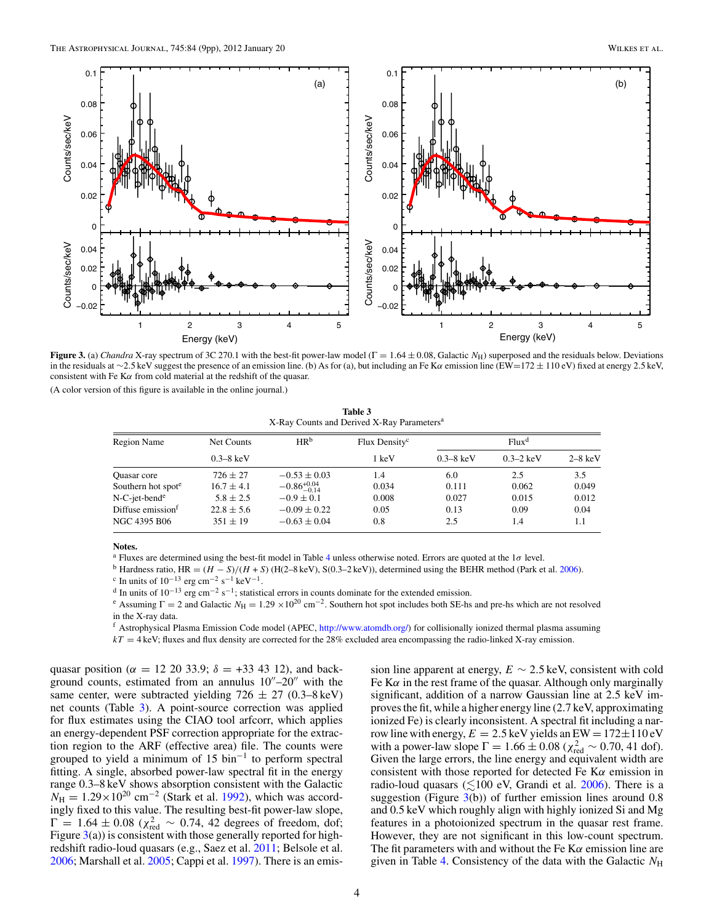<span id="page-3-0"></span>

**Figure 3.** (a) *Chandra* X-ray spectrum of 3C 270.1 with the best-fit power-law model (Γ = 1*.*64 ± 0*.*08, Galactic *N*H) superposed and the residuals below. Deviations in the residuals at ∼2*.*5 keV suggest the presence of an emission line. (b) As for (a), but including an Fe K*α* emission line (EW=172 ± 110 eV) fixed at energy 2*.*5 keV, consistent with Fe K*α* from cold material at the redshift of the quasar.

(A color version of this figure is available in the online journal.)

**Table 3** X-Ray Counts and Derived X-Ray Parameters<sup>a</sup>

| Region Name                    | Net Counts            | HR <sup>b</sup>         | Flux Density <sup>c</sup> | Flux <sup>d</sup>     |                       |           |  |
|--------------------------------|-----------------------|-------------------------|---------------------------|-----------------------|-----------------------|-----------|--|
|                                | $0.3 - 8 \text{ keV}$ |                         | 1 keV                     | $0.3 - 8 \text{ keV}$ | $0.3 - 2 \text{ keV}$ | $2-8$ keV |  |
| Quasar core                    | $726 \pm 27$          | $-0.53 \pm 0.03$        | 1.4                       | 6.0                   | 2.5                   | 3.5       |  |
| Southern hot spot <sup>e</sup> | $16.7 \pm 4.1$        | $-0.86^{+0.04}_{-0.14}$ | 0.034                     | 0.111                 | 0.062                 | 0.049     |  |
| N-C-jet-bend <sup>e</sup>      | $5.8 \pm 2.5$         | $-0.9 \pm 0.1$          | 0.008                     | 0.027                 | 0.015                 | 0.012     |  |
| Diffuse emission <sup>f</sup>  | $22.8 \pm 5.6$        | $-0.09 \pm 0.22$        | 0.05                      | 0.13                  | 0.09                  | 0.04      |  |
| NGC 4395 B06                   | $351 \pm 19$          | $-0.63 \pm 0.04$        | 0.8                       | 2.5                   | 1.4                   | 1.1       |  |

#### **Notes.**

<sup>a</sup> Fluxes are determined using the best-fit model in Table [4](#page-4-0) unless otherwise noted. Errors are quoted at the 1*σ* level.

<sup>b</sup> Hardness ratio, HR =  $(H - S)/(H + S)$  (H(2–8 keV), S(0.3–2 keV)), determined using the BEHR method (Park et al. [2006\)](#page-8-0). <sup>c</sup> In units of 10<sup>−13</sup> erg cm<sup>−2</sup> s<sup>−1</sup> keV<sup>−1</sup>.

<sup>d</sup> In units of 10<sup>−13</sup> erg cm<sup>−2</sup> s<sup>−1</sup>; statistical errors in counts dominate for the extended emission.

<sup>e</sup> Assuming  $\Gamma = 2$  and Galactic  $N_H = 1.29 \times 10^{20}$  cm<sup>-2</sup>. Southern hot spot includes both SE-hs and pre-hs which are not resolved in the X-ray data.

<sup>f</sup> Astrophysical Plasma Emission Code model (APEC, [http://www.atomdb.org/\)](http://www.atomdb.org/) for collisionally ionized thermal plasma assuming

*kT* = 4 keV; fluxes and flux density are corrected for the 28% excluded area encompassing the radio-linked X-ray emission.

quasar position ( $\alpha = 12$  20 33.9;  $\delta = +33$  43 12), and background counts, estimated from an annulus  $10^{\prime\prime}$ –20<sup> $\prime\prime$ </sup> with the same center, were subtracted yielding  $726 \pm 27$  (0.3–8 keV) net counts (Table 3). A point-source correction was applied for flux estimates using the CIAO tool arfcorr, which applies an energy-dependent PSF correction appropriate for the extraction region to the ARF (effective area) file. The counts were grouped to yield a minimum of 15 bin<sup>-1</sup> to perform spectral fitting. A single, absorbed power-law spectral fit in the energy range 0.3–8 keV shows absorption consistent with the Galactic  $N_{\text{H}} = 1.29 \times 10^{20} \text{ cm}^{-2}$  (Stark et al. [1992\)](#page-8-0), which was accordingly fixed to this value. The resulting best-fit power-law slope,  $Γ = 1.64 ± 0.08$  ( $χ<sup>2</sup><sub>red</sub> ~ 0.74$ , 42 degrees of freedom, dof; Figure  $3(a)$ ) is consistent with those generally reported for highredshift radio-loud quasars (e.g., Saez et al. [2011;](#page-8-0) Belsole et al. [2006;](#page-8-0) Marshall et al. [2005;](#page-8-0) Cappi et al. [1997\)](#page-8-0). There is an emission line apparent at energy,  $E \sim 2.5$  keV, consistent with cold Fe K*α* in the rest frame of the quasar. Although only marginally significant, addition of a narrow Gaussian line at 2.5 keV improves the fit, while a higher energy line (2.7 keV, approximating ionized Fe) is clearly inconsistent. A spectral fit including a narrow line with energy,  $E = 2.5$  keV yields an EW =  $172 \pm 110$  eV with a power-law slope  $\Gamma = 1.66 \pm 0.08$  ( $\chi^2_{\text{red}} \sim 0.70$ , 41 dof). Given the large errors, the line energy and equivalent width are consistent with those reported for detected Fe K*α* emission in radio-loud quasars ( $\leq 100$  eV, Grandi et al. [2006\)](#page-8-0). There is a suggestion (Figure  $3(b)$ ) of further emission lines around 0.8 and 0.5 keV which roughly align with highly ionized Si and Mg features in a photoionized spectrum in the quasar rest frame. However, they are not significant in this low-count spectrum. The fit parameters with and without the Fe K*α* emission line are given in Table [4.](#page-4-0) Consistency of the data with the Galactic  $N_{\rm H}$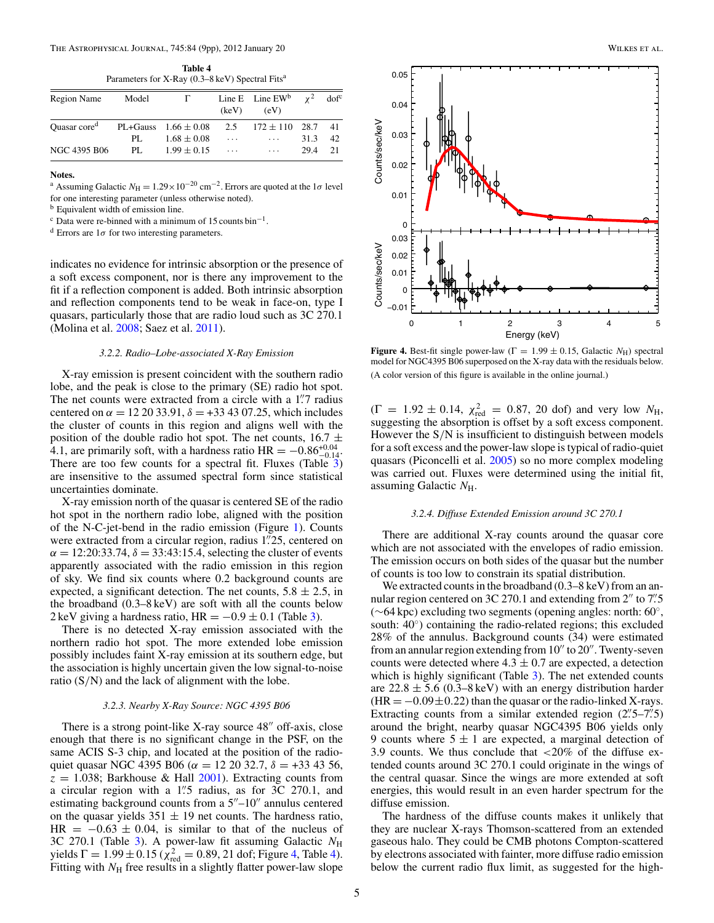**Table 4** Parameters for X-Ray (0.3–8 keV) Spectral Fits<sup>a</sup>

<span id="page-4-0"></span>

| Region Name                                       | Model | Г.              |          | Line E Line EW <sup>b</sup> $\chi^2$ dof <sup>c</sup><br>$(key)$ $(eV)$ |      |     |
|---------------------------------------------------|-------|-----------------|----------|-------------------------------------------------------------------------|------|-----|
| Quasar core <sup>d</sup> PL+Gauss $1.66 \pm 0.08$ |       |                 |          | 2.5 $172 \pm 110$ 28.7                                                  |      | -41 |
|                                                   | PL.   | $1.68 \pm 0.08$ | $\cdots$ | $\sim$ $\sim$ $\sim$                                                    | 31.3 | -42 |
| NGC 4395 B06                                      | PI.   | $1.99 \pm 0.15$ | $\cdots$ | $\sim$ $\sim$ $\sim$                                                    | 29.4 | 21  |

#### **Notes.**

<sup>a</sup> Assuming Galactic  $N_H = 1.29 \times 10^{-20}$  cm<sup>-2</sup>. Errors are quoted at the 1 $\sigma$  level for one interesting parameter (unless otherwise noted).

<sup>b</sup> Equivalent width of emission line.

 $\rm c$  Data were re-binned with a minimum of 15 counts bin<sup>-1</sup>.

<sup>d</sup> Errors are 1*σ* for two interesting parameters.

indicates no evidence for intrinsic absorption or the presence of a soft excess component, nor is there any improvement to the fit if a reflection component is added. Both intrinsic absorption and reflection components tend to be weak in face-on, type I quasars, particularly those that are radio loud such as 3C 270.1 (Molina et al. [2008;](#page-8-0) Saez et al. [2011\)](#page-8-0).

### *3.2.2. Radio–Lobe-associated X-Ray Emission*

X-ray emission is present coincident with the southern radio lobe, and the peak is close to the primary (SE) radio hot spot. The net counts were extracted from a circle with a 1<sup>"</sup>. 7 radius centered on  $\alpha = 12\,20\,33.91$ ,  $\delta = +33\,43\,07.25$ , which includes the cluster of counts in this region and aligns well with the position of the double radio hot spot. The net counts,  $16.7 \pm$ 4.1, are primarily soft, with a hardness ratio HR =  $-0.86^{+0.04}_{-0.14}$ . There are too few counts for a spectral fit. Fluxes (Table [3\)](#page-3-0) are insensitive to the assumed spectral form since statistical uncertainties dominate.

X-ray emission north of the quasar is centered SE of the radio hot spot in the northern radio lobe, aligned with the position of the N-C-jet-bend in the radio emission (Figure [1\)](#page-1-0). Counts were extracted from a circular region, radius 1*.* 25, centered on  $\alpha = 12:20:33.74$ ,  $\delta = 33:43:15.4$ , selecting the cluster of events apparently associated with the radio emission in this region of sky. We find six counts where 0.2 background counts are expected, a significant detection. The net counts,  $5.8 \pm 2.5$ , in the broadband (0.3–8 keV) are soft with all the counts below 2 keV giving a hardness ratio,  $HR = -0.9 \pm 0.1$  (Table [3\)](#page-3-0).

There is no detected X-ray emission associated with the northern radio hot spot. The more extended lobe emission possibly includes faint X-ray emission at its southern edge, but the association is highly uncertain given the low signal-to-noise ratio (S*/*N) and the lack of alignment with the lobe.

#### *3.2.3. Nearby X-Ray Source: NGC 4395 B06*

There is a strong point-like X-ray source  $48''$  off-axis, close enough that there is no significant change in the PSF, on the same ACIS S-3 chip, and located at the position of the radioquiet quasar NGC 4395 B06 ( $\alpha$  = 12 20 32.7,  $\delta$  = +33 43 56,  $z = 1.038$ ; Barkhouse & Hall [2001\)](#page-8-0). Extracting counts from a circular region with a 1*.* 5 radius, as for 3C 270.1, and estimating background counts from a  $5''-10''$  annulus centered on the quasar yields  $351 \pm 19$  net counts. The hardness ratio, HR =  $-0.63 \pm 0.04$ , is similar to that of the nucleus of 3C 270.1 (Table [3\)](#page-3-0). A power-law fit assuming Galactic  $N_{\rm H}$ yields  $\Gamma = 1.99 \pm 0.15$  ( $\chi^2_{\text{red}} = 0.89, 21$  dof; Figure 4, Table 4). Fitting with  $N<sub>H</sub>$  free results in a slightly flatter power-law slope



**Figure 4.** Best-fit single power-law ( $\Gamma = 1.99 \pm 0.15$ , Galactic  $N_H$ ) spectral model for NGC4395 B06 superposed on the X-ray data with the residuals below. (A color version of this figure is available in the online journal.)

 $(\Gamma = 1.92 \pm 0.14, \chi_{\text{red}}^2 = 0.87, 20 \text{ dof})$  and very low  $N_{\text{H}}$ , suggesting the absorption is offset by a soft excess component. However the S*/*N is insufficient to distinguish between models for a soft excess and the power-law slope is typical of radio-quiet quasars (Piconcelli et al. [2005\)](#page-8-0) so no more complex modeling was carried out. Fluxes were determined using the initial fit, assuming Galactic *N*H.

#### *3.2.4. Diffuse Extended Emission around 3C 270.1*

There are additional X-ray counts around the quasar core which are not associated with the envelopes of radio emission. The emission occurs on both sides of the quasar but the number of counts is too low to constrain its spatial distribution.

We extracted counts in the broadband (0.3–8 keV) from an annular region centered on 3C 270.1 and extending from 2" to 7".5 (∼64 kpc) excluding two segments (opening angles: north: 60◦, south: 40<sup>°</sup>) containing the radio-related regions; this excluded 28% of the annulus. Background counts (34) were estimated from an annular region extending from  $10''$  to  $20''$ . Twenty-seven counts were detected where  $4.3 \pm 0.7$  are expected, a detection which is highly significant (Table [3\)](#page-3-0). The net extended counts are  $22.8 \pm 5.6$  (0.3–8 keV) with an energy distribution harder  $(HR = -0.09 \pm 0.22)$  than the quasar or the radio-linked X-rays. Extracting counts from a similar extended region (2*.* 5–7*.* 5) around the bright, nearby quasar NGC4395 B06 yields only 9 counts where  $5 \pm 1$  are expected, a marginal detection of 3.9 counts. We thus conclude that *<*20% of the diffuse extended counts around 3C 270.1 could originate in the wings of the central quasar. Since the wings are more extended at soft energies, this would result in an even harder spectrum for the diffuse emission.

The hardness of the diffuse counts makes it unlikely that they are nuclear X-rays Thomson-scattered from an extended gaseous halo. They could be CMB photons Compton-scattered by electrons associated with fainter, more diffuse radio emission below the current radio flux limit, as suggested for the high-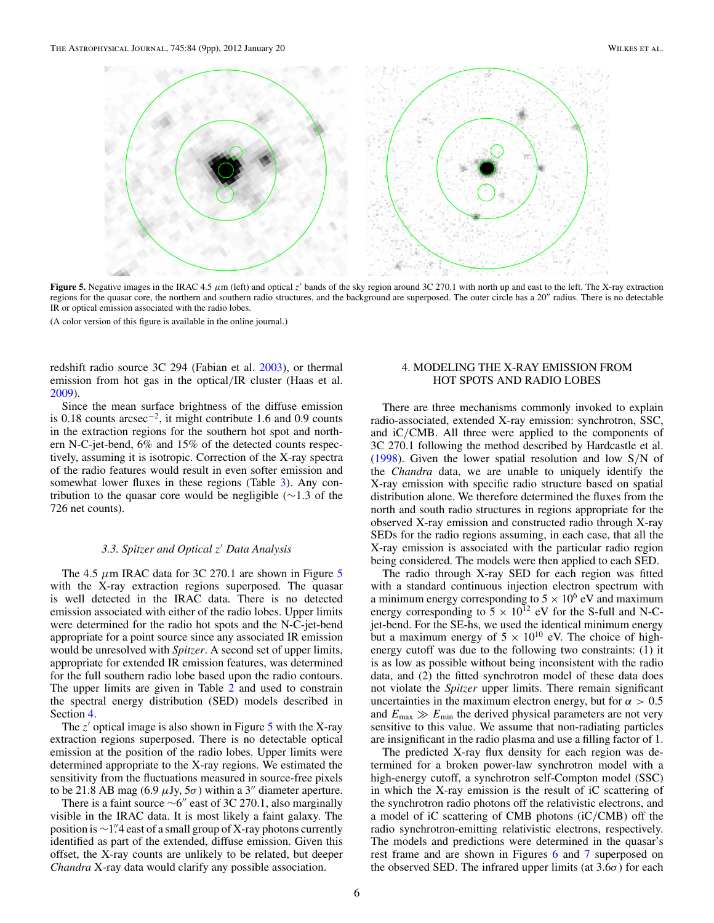

**Figure 5.** Negative images in the IRAC 4.5 *μ*m (left) and optical *z* bands of the sky region around 3C 270.1 with north up and east to the left. The X-ray extraction regions for the quasar core, the northern and southern radio structures, and the background are superposed. The outer circle has a 20" radius. There is no detectable IR or optical emission associated with the radio lobes.

(A color version of this figure is available in the online journal.)

redshift radio source 3C 294 (Fabian et al. [2003\)](#page-8-0), or thermal emission from hot gas in the optical*/*IR cluster (Haas et al. [2009\)](#page-8-0).

Since the mean surface brightness of the diffuse emission is 0.18 counts arcsec−2, it might contribute 1.6 and 0.9 counts in the extraction regions for the southern hot spot and northern N-C-jet-bend, 6% and 15% of the detected counts respectively, assuming it is isotropic. Correction of the X-ray spectra of the radio features would result in even softer emission and somewhat lower fluxes in these regions (Table [3\)](#page-3-0). Any contribution to the quasar core would be negligible (∼1*.*3 of the 726 net counts).

## *3.3. Spitzer and Optical z Data Analysis*

The 4.5  $\mu$ m IRAC data for 3C 270.1 are shown in Figure 5 with the X-ray extraction regions superposed. The quasar is well detected in the IRAC data. There is no detected emission associated with either of the radio lobes. Upper limits were determined for the radio hot spots and the N-C-jet-bend appropriate for a point source since any associated IR emission would be unresolved with *Spitzer*. A second set of upper limits, appropriate for extended IR emission features, was determined for the full southern radio lobe based upon the radio contours. The upper limits are given in Table [2](#page-2-0) and used to constrain the spectral energy distribution (SED) models described in Section 4.

The  $z'$  optical image is also shown in Figure  $5$  with the X-ray extraction regions superposed. There is no detectable optical emission at the position of the radio lobes. Upper limits were determined appropriate to the X-ray regions. We estimated the sensitivity from the fluctuations measured in source-free pixels to be 21.8 AB mag (6.9  $\mu$ Jy,  $5\sigma$ ) within a 3<sup>"</sup> diameter aperture.

There is a faint source  $\sim 6''$  east of 3C 270.1, also marginally visible in the IRAC data. It is most likely a faint galaxy. The position is ∼1<sup>*"*</sup>,4 east of a small group of X-ray photons currently identified as part of the extended, diffuse emission. Given this offset, the X-ray counts are unlikely to be related, but deeper *Chandra* X-ray data would clarify any possible association.

# 4. MODELING THE X-RAY EMISSION FROM HOT SPOTS AND RADIO LOBES

There are three mechanisms commonly invoked to explain radio-associated, extended X-ray emission: synchrotron, SSC, and iC*/*CMB. All three were applied to the components of 3C 270.1 following the method described by Hardcastle et al. [\(1998\)](#page-8-0). Given the lower spatial resolution and low S*/*N of the *Chandra* data, we are unable to uniquely identify the X-ray emission with specific radio structure based on spatial distribution alone. We therefore determined the fluxes from the north and south radio structures in regions appropriate for the observed X-ray emission and constructed radio through X-ray SEDs for the radio regions assuming, in each case, that all the X-ray emission is associated with the particular radio region being considered. The models were then applied to each SED.

The radio through X-ray SED for each region was fitted with a standard continuous injection electron spectrum with a minimum energy corresponding to  $5 \times 10^6$  eV and maximum energy corresponding to  $5 \times 10^{12}$  eV for the S-full and N-Cjet-bend. For the SE-hs, we used the identical minimum energy but a maximum energy of  $5 \times 10^{10}$  eV. The choice of highenergy cutoff was due to the following two constraints: (1) it is as low as possible without being inconsistent with the radio data, and (2) the fitted synchrotron model of these data does not violate the *Spitzer* upper limits. There remain significant uncertainties in the maximum electron energy, but for  $\alpha > 0.5$ and  $E_{\text{max}} \gg E_{\text{min}}$  the derived physical parameters are not very sensitive to this value. We assume that non-radiating particles are insignificant in the radio plasma and use a filling factor of 1.

The predicted X-ray flux density for each region was determined for a broken power-law synchrotron model with a high-energy cutoff, a synchrotron self-Compton model (SSC) in which the X-ray emission is the result of iC scattering of the synchrotron radio photons off the relativistic electrons, and a model of iC scattering of CMB photons (iC*/*CMB) off the radio synchrotron-emitting relativistic electrons, respectively. The models and predictions were determined in the quasar's rest frame and are shown in Figures [6](#page-6-0) and [7](#page-6-0) superposed on the observed SED. The infrared upper limits (at  $3.6\sigma$ ) for each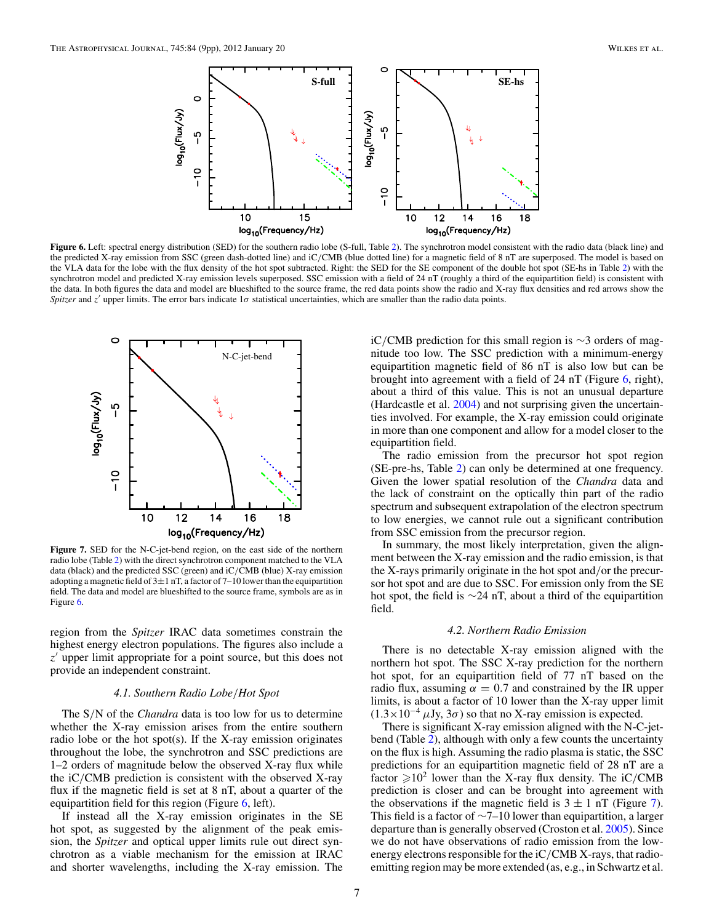<span id="page-6-0"></span>

**Figure 6.** Left: spectral energy distribution (SED) for the southern radio lobe (S-full, Table [2\)](#page-2-0). The synchrotron model consistent with the radio data (black line) and the predicted X-ray emission from SSC (green dash-dotted line) and iC*/*CMB (blue dotted line) for a magnetic field of 8 nT are superposed. The model is based on the VLA data for the lobe with the flux density of the hot spot subtracted. Right: the SED for the SE component of the double hot spot (SE-hs in Table [2\)](#page-2-0) with the synchrotron model and predicted X-ray emission levels superposed. SSC emission with a field of 24 nT (roughly a third of the equipartition field) is consistent with the data. In both figures the data and model are blueshifted to the source frame, the red data points show the radio and X-ray flux densities and red arrows show the *Spitzer* and *z* upper limits. The error bars indicate 1*σ* statistical uncertainties, which are smaller than the radio data points.



**Figure 7.** SED for the N-C-jet-bend region, on the east side of the northern radio lobe (Table [2\)](#page-2-0) with the direct synchrotron component matched to the VLA data (black) and the predicted SSC (green) and iC*/*CMB (blue) X-ray emission adopting a magnetic field of  $3\pm1$  nT, a factor of 7–10 lower than the equipartition field. The data and model are blueshifted to the source frame, symbols are as in Figure 6.

region from the *Spitzer* IRAC data sometimes constrain the highest energy electron populations. The figures also include a *z* upper limit appropriate for a point source, but this does not provide an independent constraint.

### *4.1. Southern Radio Lobe/Hot Spot*

The S*/*N of the *Chandra* data is too low for us to determine whether the X-ray emission arises from the entire southern radio lobe or the hot spot(s). If the X-ray emission originates throughout the lobe, the synchrotron and SSC predictions are 1–2 orders of magnitude below the observed X-ray flux while the iC*/*CMB prediction is consistent with the observed X-ray flux if the magnetic field is set at 8 nT, about a quarter of the equipartition field for this region (Figure 6, left).

If instead all the X-ray emission originates in the SE hot spot, as suggested by the alignment of the peak emission, the *Spitzer* and optical upper limits rule out direct synchrotron as a viable mechanism for the emission at IRAC and shorter wavelengths, including the X-ray emission. The

iC*/*CMB prediction for this small region is ∼3 orders of magnitude too low. The SSC prediction with a minimum-energy equipartition magnetic field of 86 nT is also low but can be brought into agreement with a field of 24 nT (Figure 6, right), about a third of this value. This is not an unusual departure (Hardcastle et al. [2004\)](#page-8-0) and not surprising given the uncertainties involved. For example, the X-ray emission could originate in more than one component and allow for a model closer to the equipartition field.

The radio emission from the precursor hot spot region (SE-pre-hs, Table [2\)](#page-2-0) can only be determined at one frequency. Given the lower spatial resolution of the *Chandra* data and the lack of constraint on the optically thin part of the radio spectrum and subsequent extrapolation of the electron spectrum to low energies, we cannot rule out a significant contribution from SSC emission from the precursor region.

In summary, the most likely interpretation, given the alignment between the X-ray emission and the radio emission, is that the X-rays primarily originate in the hot spot and*/*or the precursor hot spot and are due to SSC. For emission only from the SE hot spot, the field is ∼24 nT, about a third of the equipartition field.

#### *4.2. Northern Radio Emission*

There is no detectable X-ray emission aligned with the northern hot spot. The SSC X-ray prediction for the northern hot spot, for an equipartition field of 77 nT based on the radio flux, assuming  $\alpha = 0.7$  and constrained by the IR upper limits, is about a factor of 10 lower than the X-ray upper limit  $(1.3 \times 10^{-4} \,\mu\text{Jy}, 3\sigma)$  so that no X-ray emission is expected.

There is significant X-ray emission aligned with the N-C-jetbend (Table [2\)](#page-2-0), although with only a few counts the uncertainty on the flux is high. Assuming the radio plasma is static, the SSC predictions for an equipartition magnetic field of 28 nT are a factor  $\geq 10^2$  lower than the X-ray flux density. The iC/CMB prediction is closer and can be brought into agreement with the observations if the magnetic field is  $3 \pm 1$  nT (Figure 7). This field is a factor of  $\sim$ 7–10 lower than equipartition, a larger departure than is generally observed (Croston et al. [2005\)](#page-8-0). Since we do not have observations of radio emission from the lowenergy electrons responsible for the iC*/*CMB X-rays, that radioemitting region may be more extended (as, e.g., in Schwartz et al.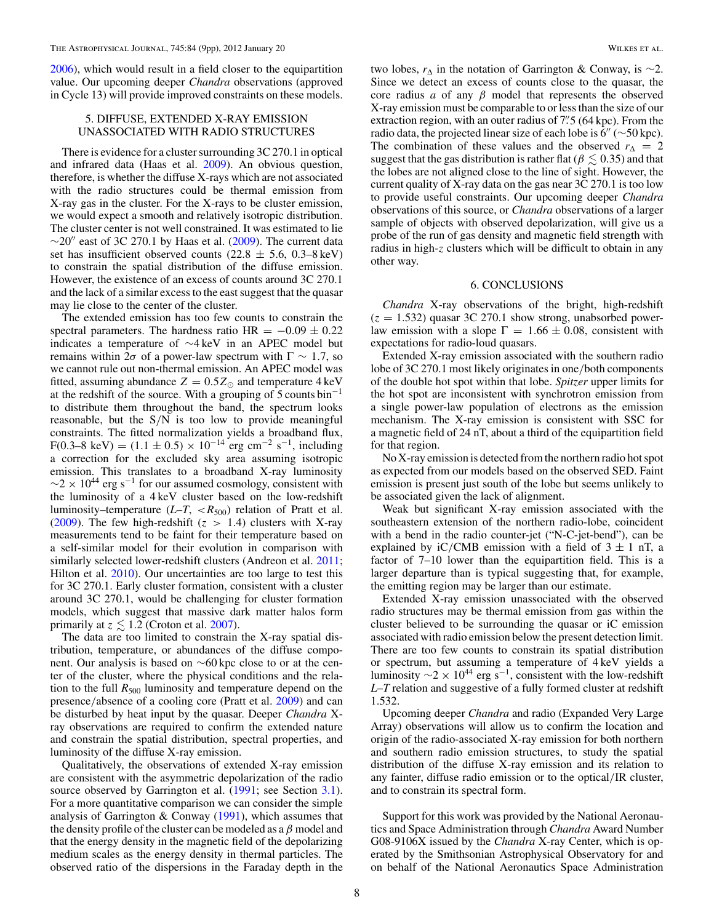[2006\)](#page-8-0), which would result in a field closer to the equipartition value. Our upcoming deeper *Chandra* observations (approved in Cycle 13) will provide improved constraints on these models.

# 5. DIFFUSE, EXTENDED X-RAY EMISSION UNASSOCIATED WITH RADIO STRUCTURES

There is evidence for a cluster surrounding 3C 270.1 in optical and infrared data (Haas et al. [2009\)](#page-8-0). An obvious question, therefore, is whether the diffuse X-rays which are not associated with the radio structures could be thermal emission from X-ray gas in the cluster. For the X-rays to be cluster emission, we would expect a smooth and relatively isotropic distribution. The cluster center is not well constrained. It was estimated to lie  $\sim$ 20" east of 3C 270.1 by Haas et al. [\(2009\)](#page-8-0). The current data set has insufficient observed counts (22.8  $\pm$  5.6, 0.3–8 keV) to constrain the spatial distribution of the diffuse emission. However, the existence of an excess of counts around 3C 270.1 and the lack of a similar excess to the east suggest that the quasar may lie close to the center of the cluster.

The extended emission has too few counts to constrain the spectral parameters. The hardness ratio HR =  $-0.09 \pm 0.22$ indicates a temperature of ∼4 keV in an APEC model but remains within 2*σ* of a power-law spectrum with  $\Gamma \sim 1.7$ , so we cannot rule out non-thermal emission. An APEC model was fitted, assuming abundance  $Z = 0.5Z_{\odot}$  and temperature 4 keV at the redshift of the source. With a grouping of  $5$  counts bin<sup>-1</sup> to distribute them throughout the band, the spectrum looks reasonable, but the S*/*N is too low to provide meaningful constraints. The fitted normalization yields a broadband flux, F(0.3–8 keV) =  $(1.1 \pm 0.5) \times 10^{-14}$  erg cm<sup>-2</sup> s<sup>-1</sup>, including a correction for the excluded sky area assuming isotropic emission. This translates to a broadband X-ray luminosity  $\sim$ 2 × 10<sup>44</sup> erg s<sup>-1</sup> for our assumed cosmology, consistent with the luminosity of a 4 keV cluster based on the low-redshift luminosity–temperature  $(L-T, \langle R_{500} \rangle)$  relation of Pratt et al. [\(2009\)](#page-8-0). The few high-redshift  $(z > 1.4)$  clusters with X-ray measurements tend to be faint for their temperature based on a self-similar model for their evolution in comparison with similarly selected lower-redshift clusters (Andreon et al. [2011;](#page-8-0) Hilton et al. [2010\)](#page-8-0). Our uncertainties are too large to test this for 3C 270.1. Early cluster formation, consistent with a cluster around 3C 270.1, would be challenging for cluster formation models, which suggest that massive dark matter halos form primarily at  $z \leq 1.2$  (Croton et al. [2007\)](#page-8-0).

The data are too limited to constrain the X-ray spatial distribution, temperature, or abundances of the diffuse component. Our analysis is based on ∼60 kpc close to or at the center of the cluster, where the physical conditions and the relation to the full  $R_{500}$  luminosity and temperature depend on the presence*/*absence of a cooling core (Pratt et al. [2009\)](#page-8-0) and can be disturbed by heat input by the quasar. Deeper *Chandra* Xray observations are required to confirm the extended nature and constrain the spatial distribution, spectral properties, and luminosity of the diffuse X-ray emission.

Qualitatively, the observations of extended X-ray emission are consistent with the asymmetric depolarization of the radio source observed by Garrington et al. [\(1991;](#page-8-0) see Section [3.1\)](#page-1-0). For a more quantitative comparison we can consider the simple analysis of Garrington  $&$  Conway [\(1991\)](#page-8-0), which assumes that the density profile of the cluster can be modeled as a *β* model and that the energy density in the magnetic field of the depolarizing medium scales as the energy density in thermal particles. The observed ratio of the dispersions in the Faraday depth in the

two lobes,  $r_{\Delta}$  in the notation of Garrington & Conway, is ∼2. Since we detect an excess of counts close to the quasar, the core radius *a* of any *β* model that represents the observed X-ray emission must be comparable to or less than the size of our extraction region, with an outer radius of 7<sup>" or</sup>  $5(64 \text{ kpc})$ . From the radio data, the projected linear size of each lobe is  $6'' \left( \sim 50 \text{ kpc} \right)$ . The combination of these values and the observed  $r_{\Delta} = 2$ suggest that the gas distribution is rather flat ( $\beta \leq 0.35$ ) and that the lobes are not aligned close to the line of sight. However, the current quality of X-ray data on the gas near 3C 270.1 is too low to provide useful constraints. Our upcoming deeper *Chandra* observations of this source, or *Chandra* observations of a larger sample of objects with observed depolarization, will give us a probe of the run of gas density and magnetic field strength with radius in high-*z* clusters which will be difficult to obtain in any other way.

#### 6. CONCLUSIONS

*Chandra* X-ray observations of the bright, high-redshift  $(z = 1.532)$  quasar 3C 270.1 show strong, unabsorbed powerlaw emission with a slope  $\Gamma = 1.66 \pm 0.08$ , consistent with expectations for radio-loud quasars.

Extended X-ray emission associated with the southern radio lobe of 3C 270.1 most likely originates in one*/*both components of the double hot spot within that lobe. *Spitzer* upper limits for the hot spot are inconsistent with synchrotron emission from a single power-law population of electrons as the emission mechanism. The X-ray emission is consistent with SSC for a magnetic field of 24 nT, about a third of the equipartition field for that region.

No X-ray emission is detected from the northern radio hot spot as expected from our models based on the observed SED. Faint emission is present just south of the lobe but seems unlikely to be associated given the lack of alignment.

Weak but significant X-ray emission associated with the southeastern extension of the northern radio-lobe, coincident with a bend in the radio counter-jet ("N-C-jet-bend"), can be explained by iC/CMB emission with a field of  $3 \pm 1$  nT, a factor of 7–10 lower than the equipartition field. This is a larger departure than is typical suggesting that, for example, the emitting region may be larger than our estimate.

Extended X-ray emission unassociated with the observed radio structures may be thermal emission from gas within the cluster believed to be surrounding the quasar or iC emission associated with radio emission below the present detection limit. There are too few counts to constrain its spatial distribution or spectrum, but assuming a temperature of 4 keV yields a luminosity  $\sim$  2 × 10<sup>44</sup> erg s<sup>-1</sup>, consistent with the low-redshift *L*–*T* relation and suggestive of a fully formed cluster at redshift 1.532.

Upcoming deeper *Chandra* and radio (Expanded Very Large Array) observations will allow us to confirm the location and origin of the radio-associated X-ray emission for both northern and southern radio emission structures, to study the spatial distribution of the diffuse X-ray emission and its relation to any fainter, diffuse radio emission or to the optical*/*IR cluster, and to constrain its spectral form.

Support for this work was provided by the National Aeronautics and Space Administration through *Chandra* Award Number G08-9106X issued by the *Chandra* X-ray Center, which is operated by the Smithsonian Astrophysical Observatory for and on behalf of the National Aeronautics Space Administration